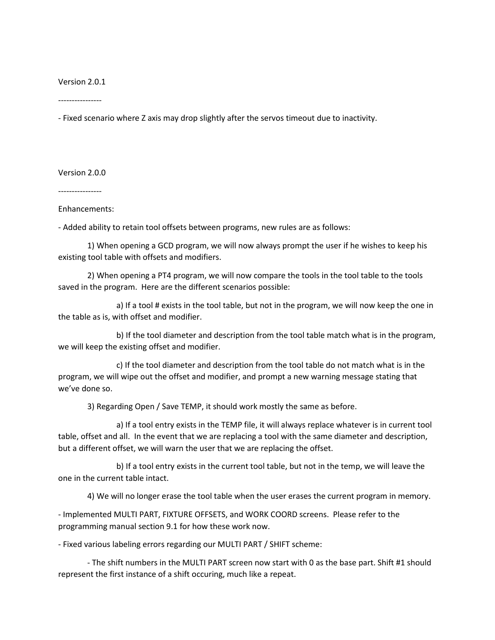Version 2.0.1

----------------

- Fixed scenario where Z axis may drop slightly after the servos timeout due to inactivity.

Version 2.0.0

----------------

Enhancements:

- Added ability to retain tool offsets between programs, new rules are as follows:

1) When opening a GCD program, we will now always prompt the user if he wishes to keep his existing tool table with offsets and modifiers.

2) When opening a PT4 program, we will now compare the tools in the tool table to the tools saved in the program. Here are the different scenarios possible:

a) If a tool # exists in the tool table, but not in the program, we will now keep the one in the table as is, with offset and modifier.

b) If the tool diameter and description from the tool table match what is in the program, we will keep the existing offset and modifier.

c) If the tool diameter and description from the tool table do not match what is in the program, we will wipe out the offset and modifier, and prompt a new warning message stating that we've done so.

3) Regarding Open / Save TEMP, it should work mostly the same as before.

a) If a tool entry exists in the TEMP file, it will always replace whatever is in current tool table, offset and all. In the event that we are replacing a tool with the same diameter and description, but a different offset, we will warn the user that we are replacing the offset.

b) If a tool entry exists in the current tool table, but not in the temp, we will leave the one in the current table intact.

4) We will no longer erase the tool table when the user erases the current program in memory.

- Implemented MULTI PART, FIXTURE OFFSETS, and WORK COORD screens. Please refer to the programming manual section 9.1 for how these work now.

- Fixed various labeling errors regarding our MULTI PART / SHIFT scheme:

- The shift numbers in the MULTI PART screen now start with 0 as the base part. Shift #1 should represent the first instance of a shift occuring, much like a repeat.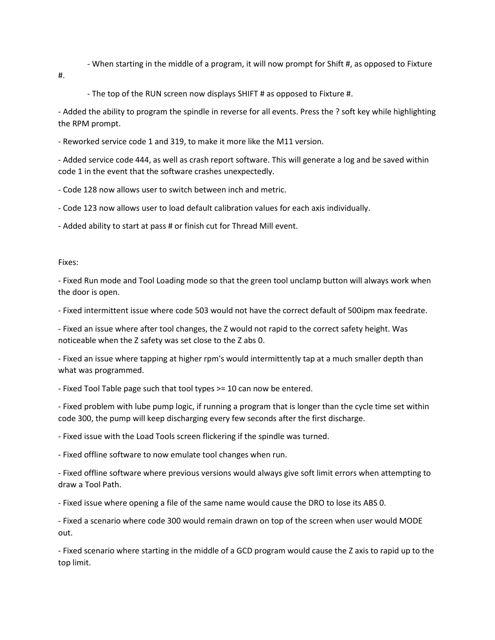- When starting in the middle of a program, it will now prompt for Shift #, as opposed to Fixture

#.

- The top of the RUN screen now displays SHIFT # as opposed to Fixture #.

- Added the ability to program the spindle in reverse for all events. Press the ? soft key while highlighting the RPM prompt.

- Reworked service code 1 and 319, to make it more like the M11 version.

- Added service code 444, as well as crash report software. This will generate a log and be saved within code 1 in the event that the software crashes unexpectedly.

- Code 128 now allows user to switch between inch and metric.

- Code 123 now allows user to load default calibration values for each axis individually.

- Added ability to start at pass # or finish cut for Thread Mill event.

## Fixes:

- Fixed Run mode and Tool Loading mode so that the green tool unclamp button will always work when the door is open.

- Fixed intermittent issue where code 503 would not have the correct default of 500ipm max feedrate.

- Fixed an issue where after tool changes, the Z would not rapid to the correct safety height. Was noticeable when the Z safety was set close to the Z abs 0.

- Fixed an issue where tapping at higher rpm's would intermittently tap at a much smaller depth than what was programmed.

- Fixed Tool Table page such that tool types >= 10 can now be entered.

- Fixed problem with lube pump logic, if running a program that is longer than the cycle time set within code 300, the pump will keep discharging every few seconds after the first discharge.

- Fixed issue with the Load Tools screen flickering if the spindle was turned.

- Fixed offline software to now emulate tool changes when run.

- Fixed offline software where previous versions would always give soft limit errors when attempting to draw a Tool Path.

- Fixed issue where opening a file of the same name would cause the DRO to lose its ABS 0.

- Fixed a scenario where code 300 would remain drawn on top of the screen when user would MODE out.

- Fixed scenario where starting in the middle of a GCD program would cause the Z axis to rapid up to the top limit.